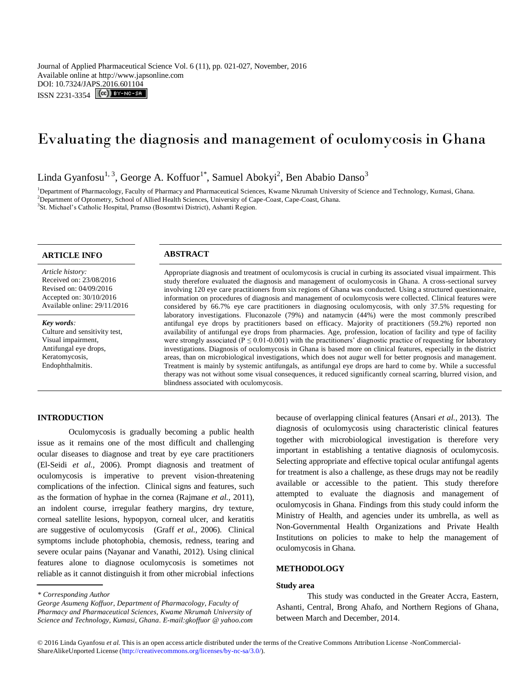Journal of Applied Pharmaceutical Science Vol. 6 (11), pp. 021-027, November, 2016 Available online at http://www.japsonline.com DOI: 10.7324/JAPS.2016.601104 ISSN 2231-3354 **CC** BY-NO-SA

# Evaluating the diagnosis and management of oculomycosis in Ghana

Linda Gyanfosu $^{1, 3}$ , George A. Koffuor $^{1*}$ , Samuel Abokyi $^{2}$ , Ben Ababio Danso $^{3}$ 

<sup>1</sup>Department of Pharmacology, Faculty of Pharmacy and Pharmaceutical Sciences, Kwame Nkrumah University of Science and Technology, Kumasi, Ghana. <sup>2</sup>Department of Optometry, School of Allied Health Sciences, University of Cape-Coast, Cape-Coast, Ghana. <sup>3</sup>St. Michael's Catholic Hospital, Pramso (Bosomtwi District), Ashanti Region.

# **ARTICLE INFO ABSTRACT**

*Article history:* Received on: 23/08/2016 Revised on: 04/09/2016 Accepted on: 30/10/2016 Available online: 29/11/2016

*Key words:*  Culture and sensitivity test, Visual impairment, Antifungal eye drops, Keratomycosis, Endophthalmitis.

Appropriate diagnosis and treatment of oculomycosis is crucial in curbing its associated visual impairment. This study therefore evaluated the diagnosis and management of oculomycosis in Ghana. A cross-sectional survey involving 120 eye care practitioners from six regions of Ghana was conducted. Using a structured questionnaire, information on procedures of diagnosis and management of oculomycosis were collected. Clinical features were considered by 66.7% eye care practitioners in diagnosing oculomycosis, with only 37.5% requesting for laboratory investigations. Fluconazole (79%) and natamycin (44%) were the most commonly prescribed antifungal eye drops by practitioners based on efficacy. Majority of practitioners (59.2%) reported non availability of antifungal eye drops from pharmacies. Age, profession, location of facility and type of facility were strongly associated ( $P \le 0.01$ -0.001) with the practitioners' diagnostic practice of requesting for laboratory investigations. Diagnosis of oculomycosis in Ghana is based more on clinical features, especially in the district areas, than on microbiological investigations, which does not augur well for better prognosis and management. Treatment is mainly by systemic antifungals, as antifungal eye drops are hard to come by. While a successful therapy was not without some visual consequences, it reduced significantly corneal scarring, blurred vision, and blindness associated with oculomycosis.

### **INTRODUCTION**

Oculomycosis is gradually becoming a public health issue as it remains one of the most difficult and challenging ocular diseases to diagnose and treat by eye care practitioners (El-Seidi *et al.,* 2006). Prompt diagnosis and treatment of oculomycosis is imperative to prevent vision-threatening complications of the infection. Clinical signs and features, such as the formation of hyphae in the cornea (Rajmane *et al.,* 2011), an indolent course, irregular feathery margins, dry texture, corneal satellite lesions, hypopyon, corneal ulcer, and keratitis are suggestive of oculomycosis (Graff *et al.,* 2006). Clinical symptoms include photophobia, chemosis, redness, tearing and severe ocular pains (Nayanar and Vanathi, 2012). Using clinical features alone to diagnose oculomycosis is sometimes not reliable as it cannot distinguish it from other microbial infections

*George Asumeng Koffuor, Department of Pharmacology, Faculty of Pharmacy and Pharmaceutical Sciences, Kwame Nkrumah University of Science and Technology, Kumasi, Ghana. E-mail:gkoffuor @ yahoo.com* because of overlapping clinical features (Ansari *et al.,* 2013). The diagnosis of oculomycosis using characteristic clinical features together with microbiological investigation is therefore very important in establishing a tentative diagnosis of oculomycosis. Selecting appropriate and effective topical ocular antifungal agents for treatment is also a challenge, as these drugs may not be readily available or accessible to the patient. This study therefore attempted to evaluate the diagnosis and management of oculomycosis in Ghana. Findings from this study could inform the Ministry of Health, and agencies under its umbrella, as well as Non-Governmental Health Organizations and Private Health Institutions on policies to make to help the management of oculomycosis in Ghana.

### **METHODOLOGY**

# **Study area**

This study was conducted in the Greater Accra, Eastern, Ashanti, Central, Brong Ahafo, and Northern Regions of Ghana, between March and December, 2014.

*<sup>\*</sup> Corresponding Author*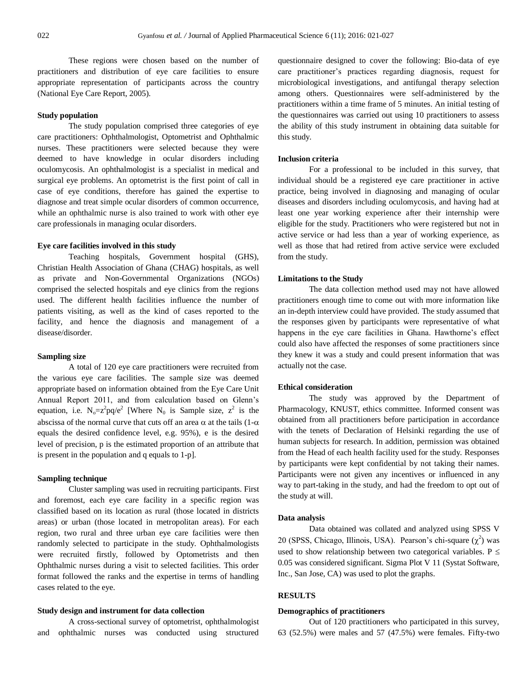These regions were chosen based on the number of practitioners and distribution of eye care facilities to ensure appropriate representation of participants across the country (National Eye Care Report, 2005).

#### **Study population**

The study population comprised three categories of eye care practitioners: Ophthalmologist, Optometrist and Ophthalmic nurses. These practitioners were selected because they were deemed to have knowledge in ocular disorders including oculomycosis. An ophthalmologist is a specialist in medical and surgical eye problems. An optometrist is the first point of call in case of eye conditions, therefore has gained the expertise to diagnose and treat simple ocular disorders of common occurrence, while an ophthalmic nurse is also trained to work with other eye care professionals in managing ocular disorders.

#### **Eye care facilities involved in this study**

Teaching hospitals, Government hospital (GHS), Christian Health Association of Ghana (CHAG) hospitals, as well as private and Non-Governmental Organizations (NGOs) comprised the selected hospitals and eye clinics from the regions used. The different health facilities influence the number of patients visiting, as well as the kind of cases reported to the facility, and hence the diagnosis and management of a disease/disorder.

#### **Sampling size**

A total of 120 eye care practitioners were recruited from the various eye care facilities. The sample size was deemed appropriate based on information obtained from the Eye Care Unit Annual Report 2011, and from calculation based on Glenn's equation, i.e.  $N_0 = z^2 pq/e^2$  [Where  $N_0$  is Sample size,  $z^2$  is the abscissa of the normal curve that cuts off an area  $\alpha$  at the tails (1- $\alpha$ ) equals the desired confidence level, e.g. 95%), e is the desired level of precision, p is the estimated proportion of an attribute that is present in the population and q equals to 1-p].

# **Sampling technique**

Cluster sampling was used in recruiting participants. First and foremost, each eye care facility in a specific region was classified based on its location as rural (those located in districts areas) or urban (those located in metropolitan areas). For each region, two rural and three urban eye care facilities were then randomly selected to participate in the study. Ophthalmologists were recruited firstly, followed by Optometrists and then Ophthalmic nurses during a visit to selected facilities. This order format followed the ranks and the expertise in terms of handling cases related to the eye.

#### **Study design and instrument for data collection**

A cross-sectional survey of optometrist, ophthalmologist and ophthalmic nurses was conducted using structured questionnaire designed to cover the following: Bio-data of eye care practitioner's practices regarding diagnosis, request for microbiological investigations, and antifungal therapy selection among others. Questionnaires were self-administered by the practitioners within a time frame of 5 minutes. An initial testing of the questionnaires was carried out using 10 practitioners to assess the ability of this study instrument in obtaining data suitable for this study.

# **Inclusion criteria**

For a professional to be included in this survey, that individual should be a registered eye care practitioner in active practice, being involved in diagnosing and managing of ocular diseases and disorders including oculomycosis, and having had at least one year working experience after their internship were eligible for the study. Practitioners who were registered but not in active service or had less than a year of working experience, as well as those that had retired from active service were excluded from the study.

### **Limitations to the Study**

The data collection method used may not have allowed practitioners enough time to come out with more information like an in-depth interview could have provided. The study assumed that the responses given by participants were representative of what happens in the eye care facilities in Ghana. Hawthorne's effect could also have affected the responses of some practitioners since they knew it was a study and could present information that was actually not the case.

### **Ethical consideration**

The study was approved by the Department of Pharmacology, KNUST, ethics committee. Informed consent was obtained from all practitioners before participation in accordance with the tenets of Declaration of Helsinki regarding the use of human subjects for research. In addition, permission was obtained from the Head of each health facility used for the study. Responses by participants were kept confidential by not taking their names. Participants were not given any incentives or influenced in any way to part-taking in the study, and had the freedom to opt out of the study at will.

#### **Data analysis**

Data obtained was collated and analyzed using SPSS V 20 (SPSS, Chicago, Illinois, USA). Pearson's chi-square  $(\chi^2)$  was used to show relationship between two categorical variables.  $P \leq$ 0.05 was considered significant. Sigma Plot V 11 (Systat Software, Inc., San Jose, CA) was used to plot the graphs.

# **RESULTS**

#### **Demographics of practitioners**

Out of 120 practitioners who participated in this survey, 63 (52.5%) were males and 57 (47.5%) were females. Fifty-two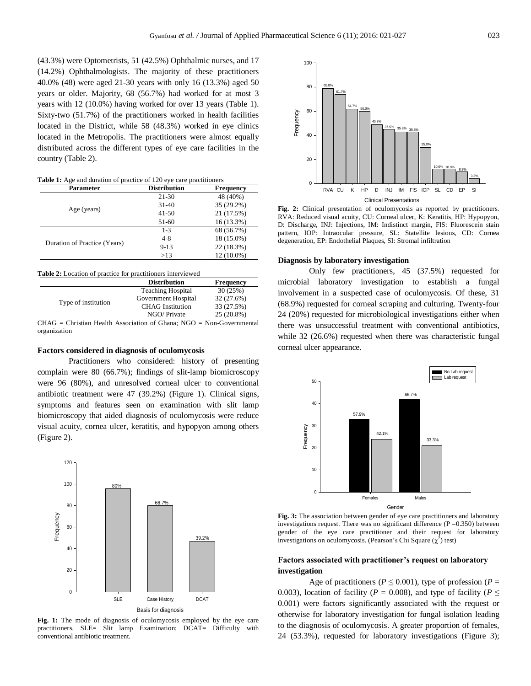(43.3%) were Optometrists, 51 (42.5%) Ophthalmic nurses, and 17 (14.2%) Ophthalmologists. The majority of these practitioners 40.0% (48) were aged 21-30 years with only 16 (13.3%) aged 50 years or older. Majority, 68 (56.7%) had worked for at most 3 years with 12 (10.0%) having worked for over 13 years (Table 1). Sixty-two (51.7%) of the practitioners worked in health facilities located in the District, while 58 (48.3%) worked in eye clinics located in the Metropolis. The practitioners were almost equally distributed across the different types of eye care facilities in the country (Table 2).

**Table 1:** Age and duration of practice of 120 eye care practitioners

| Parameter                    | <b>Distribution</b> | <b>Frequency</b> |
|------------------------------|---------------------|------------------|
| Age (years)                  | 21-30               | 48 (40%)         |
|                              | $31 - 40$           | 35 (29.2%)       |
|                              | $41 - 50$           | 21 (17.5%)       |
|                              | 51-60               | $16(13.3\%)$     |
|                              | $1 - 3$             | 68 (56.7%)       |
| Duration of Practice (Years) | $4 - 8$             | 18 (15.0%)       |
|                              | $9-13$              | 22 (18.3%)       |
|                              | >13                 | 12 (10.0%)       |

|                     | <b>Distribution</b>      | <b>Frequency</b> |
|---------------------|--------------------------|------------------|
| Type of institution | <b>Teaching Hospital</b> | 30(25%)          |
|                     | Government Hospital      | 32 (27.6%)       |
|                     | <b>CHAG</b> Institution  | 33 (27.5%)       |
|                     | NGO/Private              | 25 (20.8%)       |

CHAG = Christian Health Association of Ghana; NGO = Non-Governmental organization

#### **Factors considered in diagnosis of oculomycosis**

Practitioners who considered: history of presenting complain were 80 (66.7%); findings of slit-lamp biomicroscopy were 96 (80%), and unresolved corneal ulcer to conventional antibiotic treatment were 47 (39.2%) (Figure 1). Clinical signs, symptoms and features seen on examination with slit lamp biomicroscopy that aided diagnosis of oculomycosis were reduce visual acuity, cornea ulcer, keratitis, and hypopyon among others (Figure 2).







Fig. 2: Clinical presentation of oculomycosis as reported by practitioners. RVA: Reduced visual acuity, CU: Corneal ulcer, K: Keratitis, HP: Hypopyon, D: Discharge, INJ: Injections, IM: Indistinct margin, FlS: Fluorescein stain pattern, IOP: Intraocular pressure, SL: Statellite lesions, CD: Cornea degeneration, EP: Endothelial Plaques, SI: Stromal infiltration

#### **Diagnosis by laboratory investigation**

Only few practitioners, 45 (37.5%) requested for microbial laboratory investigation to establish a fungal involvement in a suspected case of oculomycosis. Of these, 31 (68.9%) requested for corneal scraping and culturing. Twenty-four 24 (20%) requested for microbiological investigations either when there was unsuccessful treatment with conventional antibiotics, while 32 (26.6%) requested when there was characteristic fungal corneal ulcer appearance.



**Fig. 3:** The association between gender of eye care practitioners and laboratory investigations request. There was no significant difference  $(P = 0.350)$  between gender of the eye care practitioner and their request for laboratory investigations on oculomycosis. (Pearson's Chi Square  $(\chi^2)$  test)

# **Factors associated with practitioner's request on laboratory investigation**

Age of practitioners ( $P \le 0.001$ ), type of profession ( $P =$ 0.003), location of facility ( $P = 0.008$ ), and type of facility ( $P \leq$ 0.001) were factors significantly associated with the request or otherwise for laboratory investigation for fungal isolation leading to the diagnosis of oculomycosis. A greater proportion of females, 24 (53.3%), requested for laboratory investigations (Figure 3);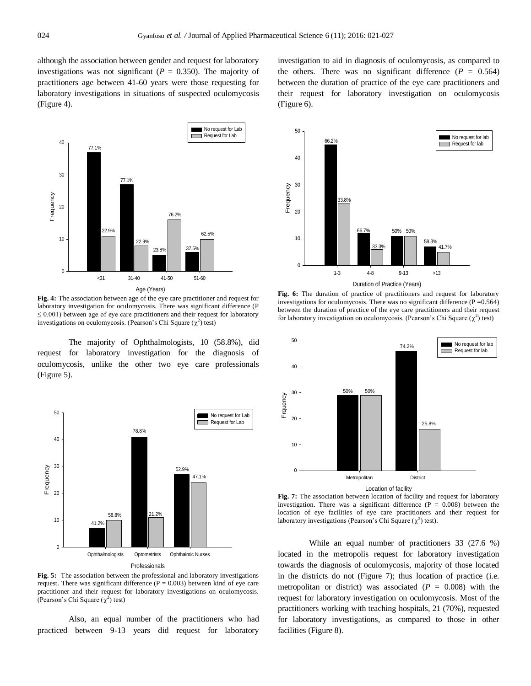although the association between gender and request for laboratory investigations was not significant ( $P = 0.350$ ). The majority of practitioners age between 41-60 years were those requesting for laboratory investigations in situations of suspected oculomycosis (Figure 4).



**Fig. 4:** The association between age of the eye care practitioner and request for laboratory investigation for oculomycosis. There was significant difference (P  $\leq 0.001$ ) between age of eye care practitioners and their request for laboratory investigations on oculomycosis. (Pearson's Chi Square  $(\chi^2)$  test)

The majority of Ophthalmologists, 10 (58.8%), did request for laboratory investigation for the diagnosis of oculomycosis, unlike the other two eye care professionals (Figure 5).



**Fig. 5:** The association between the professional and laboratory investigations request. There was significant difference ( $P = 0.003$ ) between kind of eye care practitioner and their request for laboratory investigations on oculomycosis. (Pearson's Chi Square  $(\chi^2)$  test)

Also, an equal number of the practitioners who had practiced between 9-13 years did request for laboratory

investigation to aid in diagnosis of oculomycosis, as compared to the others. There was no significant difference  $(P = 0.564)$ between the duration of practice of the eye care practitioners and their request for laboratory investigation on oculomycosis (Figure 6).



**Fig. 6:** The duration of practice of practitioners and request for laboratory investigations for oculomycosis. There was no significant difference ( $P = 0.564$ ) between the duration of practice of the eye care practitioners and their request for laboratory investigation on oculomycosis. (Pearson's Chi Square  $(\chi^2)$  test)



**Fig. 7:** The association between location of facility and request for laboratory investigation. There was a significant difference  $(P = 0.008)$  between the location of eye facilities of eye care practitioners and their request for

laboratory investigations (Pearson's Chi Square  $(\chi^2)$  test).

While an equal number of practitioners 33 (27.6 %) located in the metropolis request for laboratory investigation towards the diagnosis of oculomycosis, majority of those located in the districts do not (Figure 7); thus location of practice (i.e. metropolitan or district) was associated  $(P = 0.008)$  with the request for laboratory investigation on oculomycosis. Most of the practitioners working with teaching hospitals, 21 (70%), requested for laboratory investigations, as compared to those in other facilities (Figure 8).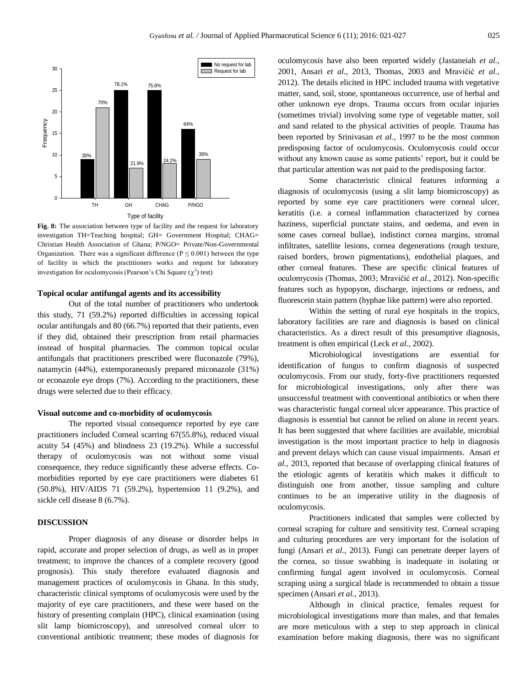

Fig. 8: The association between type of facility and the request for laboratory investigation TH=Teaching hospital; GH= Government Hospital; CHAG= Christian Health Association of Ghana; P/NGO= Private/Non-Governmental Organization. There was a significant difference ( $P \le 0.001$ ) between the type of facility in which the practitioners works and request for laboratory investigation for oculomycosis (Pearson's Chi Square  $(\chi^2)$  test)

#### **Topical ocular antifungal agents and its accessibility**

Out of the total number of practitioners who undertook this study, 71 (59.2%) reported difficulties in accessing topical ocular antifungals and 80 (66.7%) reported that their patients, even if they did, obtained their prescription from retail pharmacies instead of hospital pharmacies. The common topical ocular antifungals that practitioners prescribed were fluconazole (79%), natamycin (44%), extemporaneously prepared miconazole (31%) or econazole eye drops (7%). According to the practitioners, these drugs were selected due to their efficacy.

#### **Visual outcome and co-morbidity of oculomycosis**

The reported visual consequence reported by eye care practitioners included Corneal scarring 67(55.8%), reduced visual acuity 54 (45%) and blindness 23 (19.2%). While a successful therapy of oculomycosis was not without some visual consequence, they reduce significantly these adverse effects. Comorbidities reported by eye care practitioners were diabetes 61 (50.8%), HIV/AIDS 71 (59.2%), hypertension 11 (9.2%), and sickle cell disease 8 (6.7%).

# **DISCUSSION**

Proper diagnosis of any disease or disorder helps in rapid, accurate and proper selection of drugs, as well as in proper treatment; to improve the chances of a complete recovery (good prognosis). This study therefore evaluated diagnosis and management practices of oculomycosis in Ghana. In this study, characteristic clinical symptoms of oculomycosis were used by the majority of eye care practitioners, and these were based on the history of presenting complain (HPC), clinical examination (using slit lamp biomicroscopy), and unresolved corneal ulcer to conventional antibiotic treatment; these modes of diagnosis for oculomycosis have also been reported widely (Jastaneiah *et al.,*  2001, Ansari *et al.,* 2013, Thomas, 2003 and Mravičić *et al.,*  2012). The details elicited in HPC included trauma with vegetative matter, sand, soil, stone, spontaneous occurrence, use of herbal and other unknown eye drops. Trauma occurs from ocular injuries (sometimes trivial) involving some type of vegetable matter, soil and sand related to the physical activities of people. Trauma has been reported by Srinivasan *et al.,* 1997 to be the most common predisposing factor of oculomycosis. Oculomycosis could occur without any known cause as some patients' report, but it could be that particular attention was not paid to the predisposing factor.

Some characteristic clinical features informing a diagnosis of oculomycosis (using a slit lamp biomicroscopy) as reported by some eye care practitioners were corneal ulcer, keratitis (i.e. a corneal inflammation characterized by cornea haziness, superficial punctate stains, and oedema, and even in some cases corneal bullae), indistinct cornea margins, stromal infiltrates, satellite lesions, cornea degenerations (rough texture, raised borders, brown pigmentations), endothelial plaques, and other corneal features. These are specific clinical features of oculomycosis (Thomas, 2003; Mravičić *et al.,* 2012). Non-specific features such as hypopyon, discharge, injections or redness, and fluorescein stain pattern (hyphae like pattern) were also reported.

Within the setting of rural eye hospitals in the tropics, laboratory facilities are rare and diagnosis is based on clinical characteristics. As a direct result of this presumptive diagnosis, treatment is often empirical (Leck *et al.,* 2002).

Microbiological investigations are essential for identification of fungus to confirm diagnosis of suspected oculomycosis. From our study, forty-five practitioners requested for microbiological investigations, only after there was unsuccessful treatment with conventional antibiotics or when there was characteristic fungal corneal ulcer appearance. This practice of diagnosis is essential but cannot be relied on alone in recent years. It has been suggested that where facilities are available, microbial investigation is the most important practice to help in diagnosis and prevent delays which can cause visual impairments. Ansari *et al.,* 2013, reported that because of overlapping clinical features of the etiologic agents of keratitis which makes it difficult to distinguish one from another, tissue sampling and culture continues to be an imperative utility in the diagnosis of oculomycosis.

Practitioners indicated that samples were collected by corneal scraping for culture and sensitivity test. Corneal scraping and culturing procedures are very important for the isolation of fungi (Ansari *et al.,* 2013). Fungi can penetrate deeper layers of the cornea, so tissue swabbing is inadequate in isolating or confirming fungal agent involved in oculomycosis. Corneal scraping using a surgical blade is recommended to obtain a tissue specimen (Ansari *et al.,* 2013).

Although in clinical practice, females request for microbiological investigations more than males, and that females are more meticulous with a step to step approach in clinical examination before making diagnosis, there was no significant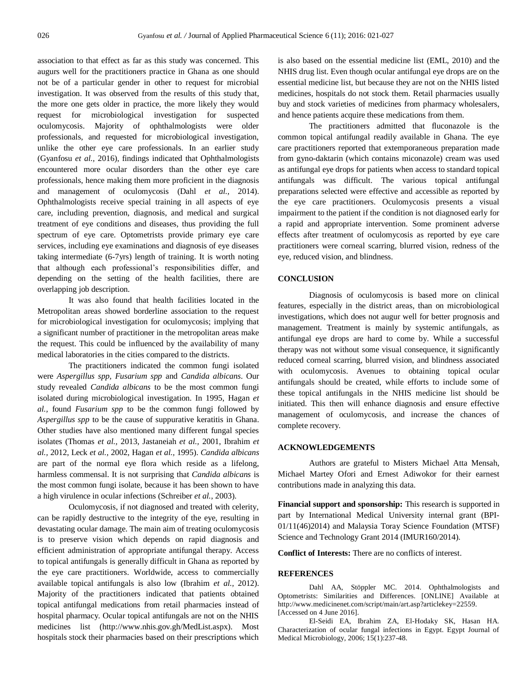association to that effect as far as this study was concerned. This augurs well for the practitioners practice in Ghana as one should not be of a particular gender in other to request for microbial investigation. It was observed from the results of this study that, the more one gets older in practice, the more likely they would request for microbiological investigation for suspected oculomycosis. Majority of ophthalmologists were older professionals, and requested for microbiological investigation, unlike the other eye care professionals. In an earlier study (Gyanfosu *et al.,* 2016), findings indicated that Ophthalmologists encountered more ocular disorders than the other eye care professionals, hence making them more proficient in the diagnosis and management of oculomycosis (Dahl *et al.,* 2014). Ophthalmologists receive special training in all aspects of eye care, including prevention, diagnosis, and medical and surgical treatment of eye conditions and diseases, thus providing the full spectrum of eye care. Optometrists provide primary eye care services, including eye examinations and diagnosis of eye diseases taking intermediate (6-7yrs) length of training. It is worth noting that although each professional's responsibilities differ, and depending on the setting of the health facilities, there are overlapping job description.

It was also found that health facilities located in the Metropolitan areas showed borderline association to the request for microbiological investigation for oculomycosis; implying that a significant number of practitioner in the metropolitan areas make the request. This could be influenced by the availability of many medical laboratories in the cities compared to the districts.

The practitioners indicated the common fungi isolated were *Aspergillus spp, Fusarium spp* and *Candida albicans*. Our study revealed *Candida albicans* to be the most common fungi isolated during microbiological investigation. In 1995, Hagan *et al.,* found *Fusarium spp* to be the common fungi followed by *Aspergillus spp* to be the cause of suppurative keratitis in Ghana. Other studies have also mentioned many different fungal species isolates (Thomas *et al.,* 2013, Jastaneiah *et al.,* 2001, Ibrahim *et al.,* 2012, Leck *et al.,* 2002, Hagan *et al.,* 1995). *Candida albicans* are part of the normal eye flora which reside as a lifelong, harmless commensal. It is not surprising that *Candida albicans* is the most common fungi isolate, because it has been shown to have a high virulence in ocular infections (Schreiber *et al.,* 2003).

Oculomycosis, if not diagnosed and treated with celerity, can be rapidly destructive to the integrity of the eye, resulting in devastating ocular damage. The main aim of treating oculomycosis is to preserve vision which depends on rapid diagnosis and efficient administration of appropriate antifungal therapy. Access to topical antifungals is generally difficult in Ghana as reported by the eye care practitioners. Worldwide, access to commercially available topical antifungals is also low (Ibrahim *et al.,* 2012). Majority of the practitioners indicated that patients obtained topical antifungal medications from retail pharmacies instead of hospital pharmacy. Ocular topical antifungals are not on the NHIS medicines list (http://www.nhis.gov.gh/MedList.aspx). Most hospitals stock their pharmacies based on their prescriptions which

is also based on the essential medicine list (EML, 2010) and the NHIS drug list. Even though ocular antifungal eye drops are on the essential medicine list, but because they are not on the NHIS listed medicines, hospitals do not stock them. Retail pharmacies usually buy and stock varieties of medicines from pharmacy wholesalers, and hence patients acquire these medications from them.

The practitioners admitted that fluconazole is the common topical antifungal readily available in Ghana. The eye care practitioners reported that extemporaneous preparation made from gyno-daktarin (which contains miconazole) cream was used as antifungal eye drops for patients when access to standard topical antifungals was difficult. The various topical antifungal preparations selected were effective and accessible as reported by the eye care practitioners. Oculomycosis presents a visual impairment to the patient if the condition is not diagnosed early for a rapid and appropriate intervention. Some prominent adverse effects after treatment of oculomycosis as reported by eye care practitioners were corneal scarring, blurred vision, redness of the eye, reduced vision, and blindness.

#### **CONCLUSION**

Diagnosis of oculomycosis is based more on clinical features, especially in the district areas, than on microbiological investigations, which does not augur well for better prognosis and management. Treatment is mainly by systemic antifungals, as antifungal eye drops are hard to come by. While a successful therapy was not without some visual consequence, it significantly reduced corneal scarring, blurred vision, and blindness associated with oculomycosis. Avenues to obtaining topical ocular antifungals should be created, while efforts to include some of these topical antifungals in the NHIS medicine list should be initiated. This then will enhance diagnosis and ensure effective management of oculomycosis, and increase the chances of complete recovery.

# **ACKNOWLEDGEMENTS**

Authors are grateful to Misters Michael Atta Mensah, Michael Martey Ofori and Ernest Adiwokor for their earnest contributions made in analyzing this data.

**Financial support and sponsorship:** This research is supported in part by International Medical University internal grant (BPI-01/11(46)2014) and Malaysia Toray Science Foundation (MTSF) Science and Technology Grant 2014 (IMUR160/2014).

**Conflict of Interests:** There are no conflicts of interest.

# **REFERENCES**

Dahl AA, Stöppler MC. 2014. Ophthalmologists and Optometrists: Similarities and Differences. [ONLINE] Available at http://www.medicinenet.com/script/main/art.asp?articlekey=22559. [Accessed on 4 June 2016].

El-Seidi EA, Ibrahim ZA, El-Hodaky SK, Hasan HA. Characterization of ocular fungal infections in Egypt. Egypt Journal of Medical Microbiology, 2006; 15(1):237-48.